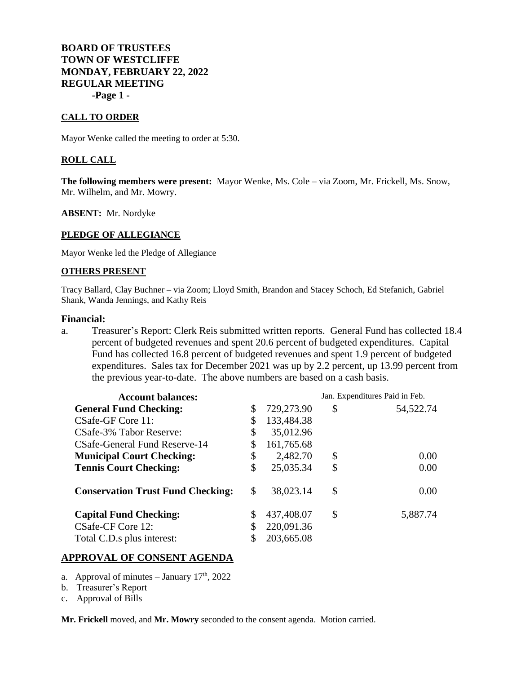## **BOARD OF TRUSTEES TOWN OF WESTCLIFFE MONDAY, FEBRUARY 22, 2022 REGULAR MEETING -Page 1 -**

### **CALL TO ORDER**

Mayor Wenke called the meeting to order at 5:30.

## **ROLL CALL**

**The following members were present:** Mayor Wenke, Ms. Cole – via Zoom, Mr. Frickell, Ms. Snow, Mr. Wilhelm, and Mr. Mowry.

**ABSENT:** Mr. Nordyke

#### **PLEDGE OF ALLEGIANCE**

Mayor Wenke led the Pledge of Allegiance

### **OTHERS PRESENT**

Tracy Ballard, Clay Buchner – via Zoom; Lloyd Smith, Brandon and Stacey Schoch, Ed Stefanich, Gabriel Shank, Wanda Jennings, and Kathy Reis

#### **Financial:**

a. Treasurer's Report: Clerk Reis submitted written reports. General Fund has collected 18.4 percent of budgeted revenues and spent 20.6 percent of budgeted expenditures. Capital Fund has collected 16.8 percent of budgeted revenues and spent 1.9 percent of budgeted expenditures. Sales tax for December 2021 was up by 2.2 percent, up 13.99 percent from the previous year-to-date. The above numbers are based on a cash basis.

| <b>Account balances:</b>                 |    |            | Jan. Expenditures Paid in Feb. |           |
|------------------------------------------|----|------------|--------------------------------|-----------|
| <b>General Fund Checking:</b>            | \$ | 729,273.90 | \$                             | 54,522.74 |
| CSafe-GF Core 11:                        | \$ | 133,484.38 |                                |           |
| CSafe-3% Tabor Reserve:                  | \$ | 35,012.96  |                                |           |
| CSafe-General Fund Reserve-14            | S  | 161,765.68 |                                |           |
| <b>Municipal Court Checking:</b>         | \$ | 2,482.70   | \$                             | 0.00      |
| <b>Tennis Court Checking:</b>            | \$ | 25,035.34  | \$                             | 0.00      |
| <b>Conservation Trust Fund Checking:</b> | \$ | 38,023.14  | \$                             | 0.00      |
| <b>Capital Fund Checking:</b>            |    | 437,408.07 | \$                             | 5,887.74  |
| CSafe-CF Core 12:                        |    | 220,091.36 |                                |           |
| Total C.D.s plus interest:               |    | 203,665.08 |                                |           |

## **APPROVAL OF CONSENT AGENDA**

- a. Approval of minutes January  $17<sup>th</sup>$ , 2022
- b. Treasurer's Report
- c. Approval of Bills

**Mr. Frickell** moved, and **Mr. Mowry** seconded to the consent agenda. Motion carried.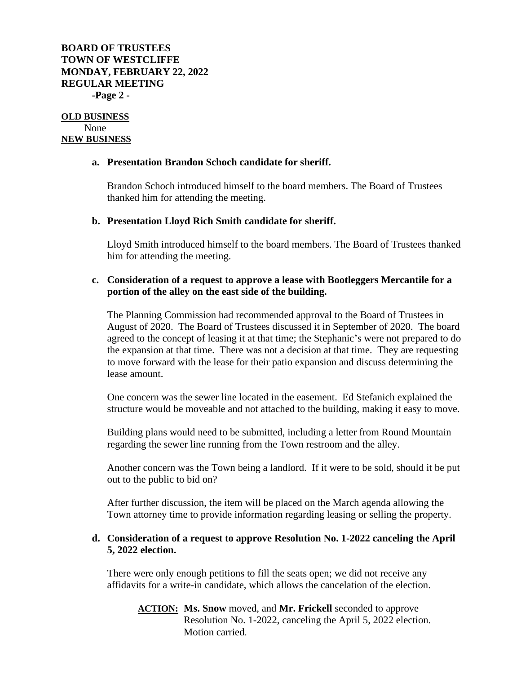# **BOARD OF TRUSTEES TOWN OF WESTCLIFFE MONDAY, FEBRUARY 22, 2022 REGULAR MEETING -Page 2 -**

**OLD BUSINESS** None **NEW BUSINESS**

## **a. Presentation Brandon Schoch candidate for sheriff.**

Brandon Schoch introduced himself to the board members. The Board of Trustees thanked him for attending the meeting.

## **b. Presentation Lloyd Rich Smith candidate for sheriff.**

Lloyd Smith introduced himself to the board members. The Board of Trustees thanked him for attending the meeting.

## **c. Consideration of a request to approve a lease with Bootleggers Mercantile for a portion of the alley on the east side of the building.**

The Planning Commission had recommended approval to the Board of Trustees in August of 2020. The Board of Trustees discussed it in September of 2020. The board agreed to the concept of leasing it at that time; the Stephanic's were not prepared to do the expansion at that time. There was not a decision at that time. They are requesting to move forward with the lease for their patio expansion and discuss determining the lease amount.

One concern was the sewer line located in the easement. Ed Stefanich explained the structure would be moveable and not attached to the building, making it easy to move.

Building plans would need to be submitted, including a letter from Round Mountain regarding the sewer line running from the Town restroom and the alley.

Another concern was the Town being a landlord. If it were to be sold, should it be put out to the public to bid on?

After further discussion, the item will be placed on the March agenda allowing the Town attorney time to provide information regarding leasing or selling the property.

# **d. Consideration of a request to approve Resolution No. 1-2022 canceling the April 5, 2022 election.**

There were only enough petitions to fill the seats open; we did not receive any affidavits for a write-in candidate, which allows the cancelation of the election.

**ACTION: Ms. Snow** moved, and **Mr. Frickell** seconded to approve Resolution No. 1-2022, canceling the April 5, 2022 election. Motion carried.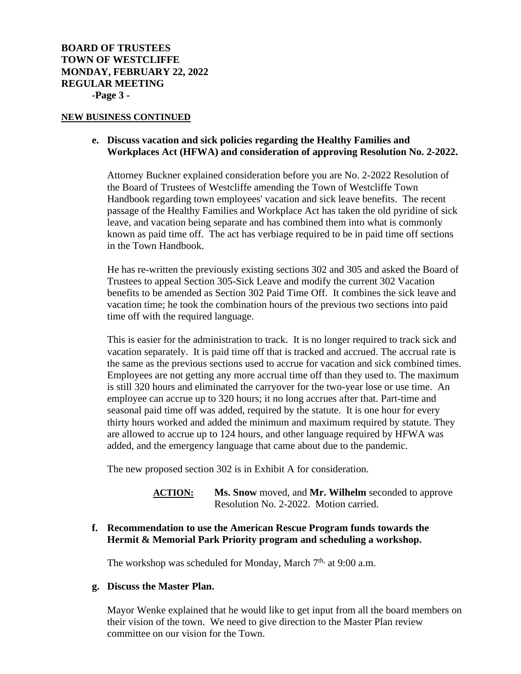#### **NEW BUSINESS CONTINUED**

## **e. Discuss vacation and sick policies regarding the Healthy Families and Workplaces Act (HFWA) and consideration of approving Resolution No. 2-2022.**

Attorney Buckner explained consideration before you are No. 2-2022 Resolution of the Board of Trustees of Westcliffe amending the Town of Westcliffe Town Handbook regarding town employees' vacation and sick leave benefits. The recent passage of the Healthy Families and Workplace Act has taken the old pyridine of sick leave, and vacation being separate and has combined them into what is commonly known as paid time off. The act has verbiage required to be in paid time off sections in the Town Handbook.

He has re-written the previously existing sections 302 and 305 and asked the Board of Trustees to appeal Section 305-Sick Leave and modify the current 302 Vacation benefits to be amended as Section 302 Paid Time Off. It combines the sick leave and vacation time; he took the combination hours of the previous two sections into paid time off with the required language.

This is easier for the administration to track. It is no longer required to track sick and vacation separately. It is paid time off that is tracked and accrued. The accrual rate is the same as the previous sections used to accrue for vacation and sick combined times. Employees are not getting any more accrual time off than they used to. The maximum is still 320 hours and eliminated the carryover for the two-year lose or use time. An employee can accrue up to 320 hours; it no long accrues after that. Part-time and seasonal paid time off was added, required by the statute. It is one hour for every thirty hours worked and added the minimum and maximum required by statute. They are allowed to accrue up to 124 hours, and other language required by HFWA was added, and the emergency language that came about due to the pandemic.

The new proposed section 302 is in Exhibit A for consideration.

**ACTION: Ms. Snow** moved, and **Mr. Wilhelm** seconded to approve Resolution No. 2-2022. Motion carried.

## **f. Recommendation to use the American Rescue Program funds towards the Hermit & Memorial Park Priority program and scheduling a workshop.**

The workshop was scheduled for Monday, March  $7<sup>th</sup>$ , at 9:00 a.m.

### **g. Discuss the Master Plan.**

Mayor Wenke explained that he would like to get input from all the board members on their vision of the town. We need to give direction to the Master Plan review committee on our vision for the Town.